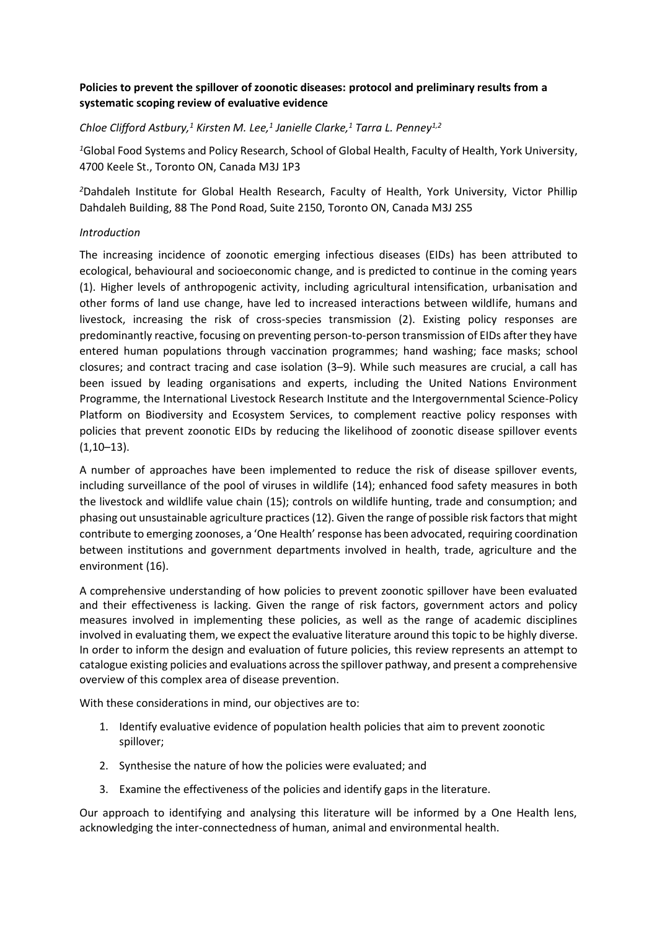# **Policies to prevent the spillover of zoonotic diseases: protocol and preliminary results from a systematic scoping review of evaluative evidence**

# *Chloe Clifford Astbury,<sup>1</sup> Kirsten M. Lee,<sup>1</sup> Janielle Clarke,<sup>1</sup> Tarra L. Penney1,2*

*<sup>1</sup>*Global Food Systems and Policy Research, School of Global Health, Faculty of Health, York University, 4700 Keele St., Toronto ON, Canada M3J 1P3

*<sup>2</sup>*Dahdaleh Institute for Global Health Research, Faculty of Health, York University, Victor Phillip Dahdaleh Building, 88 The Pond Road, Suite 2150, Toronto ON, Canada M3J 2S5

### *Introduction*

The increasing incidence of zoonotic emerging infectious diseases (EIDs) has been attributed to ecological, behavioural and socioeconomic change, and is predicted to continue in the coming years (1). Higher levels of anthropogenic activity, including agricultural intensification, urbanisation and other forms of land use change, have led to increased interactions between wildlife, humans and livestock, increasing the risk of cross-species transmission (2). Existing policy responses are predominantly reactive, focusing on preventing person-to-person transmission of EIDs after they have entered human populations through vaccination programmes; hand washing; face masks; school closures; and contract tracing and case isolation (3–9). While such measures are crucial, a call has been issued by leading organisations and experts, including the United Nations Environment Programme, the International Livestock Research Institute and the Intergovernmental Science-Policy Platform on Biodiversity and Ecosystem Services, to complement reactive policy responses with policies that prevent zoonotic EIDs by reducing the likelihood of zoonotic disease spillover events  $(1,10-13)$ .

A number of approaches have been implemented to reduce the risk of disease spillover events, including surveillance of the pool of viruses in wildlife (14); enhanced food safety measures in both the livestock and wildlife value chain (15); controls on wildlife hunting, trade and consumption; and phasing out unsustainable agriculture practices (12). Given the range of possible risk factors that might contribute to emerging zoonoses, a 'One Health' response has been advocated, requiring coordination between institutions and government departments involved in health, trade, agriculture and the environment (16).

A comprehensive understanding of how policies to prevent zoonotic spillover have been evaluated and their effectiveness is lacking. Given the range of risk factors, government actors and policy measures involved in implementing these policies, as well as the range of academic disciplines involved in evaluating them, we expect the evaluative literature around this topic to be highly diverse. In order to inform the design and evaluation of future policies, this review represents an attempt to catalogue existing policies and evaluations across the spillover pathway, and present a comprehensive overview of this complex area of disease prevention.

With these considerations in mind, our objectives are to:

- 1. Identify evaluative evidence of population health policies that aim to prevent zoonotic spillover;
- 2. Synthesise the nature of how the policies were evaluated; and
- 3. Examine the effectiveness of the policies and identify gaps in the literature.

Our approach to identifying and analysing this literature will be informed by a One Health lens, acknowledging the inter-connectedness of human, animal and environmental health.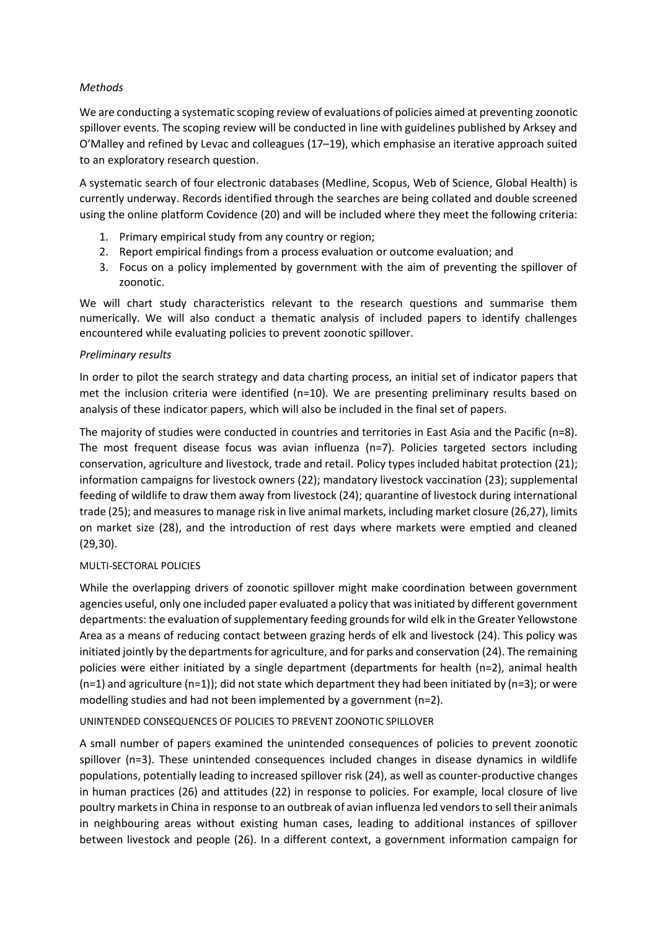## *Methods*

We are conducting a systematic scoping review of evaluations of policies aimed at preventing zoonotic spillover events. The scoping review will be conducted in line with guidelines published by Arksey and O'Malley and refined by Levac and colleagues (17–19), which emphasise an iterative approach suited to an exploratory research question.

A systematic search of four electronic databases (Medline, Scopus, Web of Science, Global Health) is currently underway. Records identified through the searches are being collated and double screened using the online platform Covidence (20) and will be included where they meet the following criteria:

- 1. Primary empirical study from any country or region;
- 2. Report empirical findings from a process evaluation or outcome evaluation; and
- 3. Focus on a policy implemented by government with the aim of preventing the spillover of zoonotic.

We will chart study characteristics relevant to the research questions and summarise them numerically. We will also conduct a thematic analysis of included papers to identify challenges encountered while evaluating policies to prevent zoonotic spillover.

#### *Preliminary results*

In order to pilot the search strategy and data charting process, an initial set of indicator papers that met the inclusion criteria were identified ( $n=10$ ). We are presenting preliminary results based on analysis of these indicator papers, which will also be included in the final set of papers.

The majority of studies were conducted in countries and territories in East Asia and the Pacific (n=8). The most frequent disease focus was avian influenza (n=7). Policies targeted sectors including conservation, agriculture and livestock, trade and retail. Policy types included habitat protection (21); information campaigns for livestock owners (22); mandatory livestock vaccination (23); supplemental feeding of wildlife to draw them away from livestock (24); quarantine of livestock during international trade (25); and measures to manage risk in live animal markets, including market closure (26,27), limits on market size (28), and the introduction of rest days where markets were emptied and cleaned (29,30).

#### MULTI-SECTORAL POLICIES

While the overlapping drivers of zoonotic spillover might make coordination between government agencies useful, only one included paper evaluated a policy that was initiated by different government departments: the evaluation of supplementary feeding grounds for wild elk in the Greater Yellowstone Area as a means of reducing contact between grazing herds of elk and livestock (24). This policy was initiated jointly by the departments for agriculture, and for parks and conservation (24). The remaining policies were either initiated by a single department (departments for health (n=2), animal health  $(n=1)$  and agriculture  $(n=1)$ ; did not state which department they had been initiated by  $(n=3)$ ; or were modelling studies and had not been implemented by a government (n=2).

#### UNINTENDED CONSEQUENCES OF POLICIES TO PREVENT ZOONOTIC SPILLOVER

A small number of papers examined the unintended consequences of policies to prevent zoonotic spillover (n=3). These unintended consequences included changes in disease dynamics in wildlife populations, potentially leading to increased spillover risk (24), as well as counter-productive changes in human practices (26) and attitudes (22) in response to policies. For example, local closure of live poultry markets in China in response to an outbreak of avian influenza led vendors to sell their animals in neighbouring areas without existing human cases, leading to additional instances of spillover between livestock and people (26). In a different context, a government information campaign for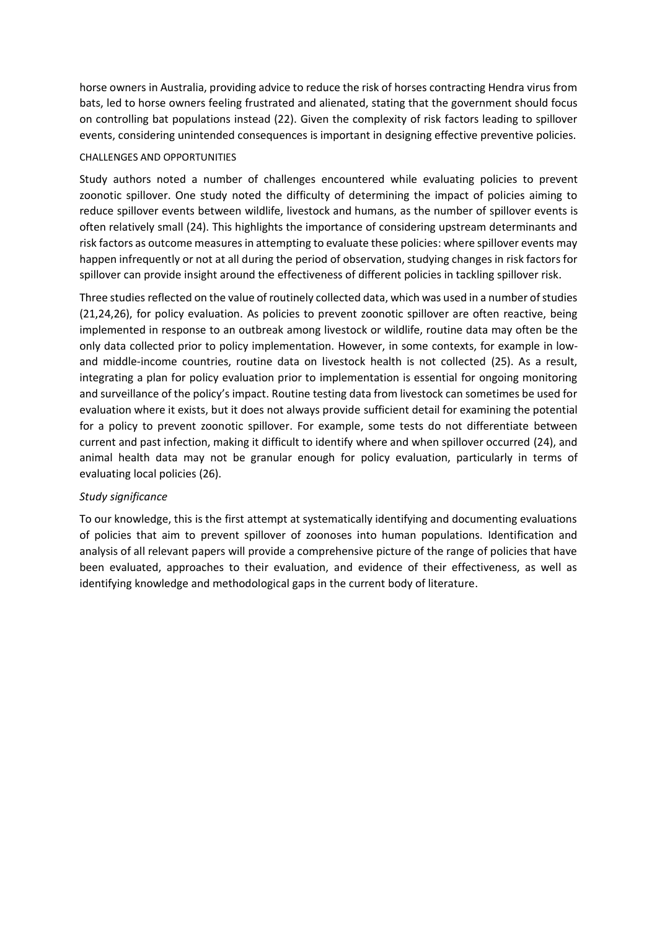horse owners in Australia, providing advice to reduce the risk of horses contracting Hendra virus from bats, led to horse owners feeling frustrated and alienated, stating that the government should focus on controlling bat populations instead (22). Given the complexity of risk factors leading to spillover events, considering unintended consequences is important in designing effective preventive policies.

#### CHALLENGES AND OPPORTUNITIES

Study authors noted a number of challenges encountered while evaluating policies to prevent zoonotic spillover. One study noted the difficulty of determining the impact of policies aiming to reduce spillover events between wildlife, livestock and humans, as the number of spillover events is often relatively small (24). This highlights the importance of considering upstream determinants and risk factors as outcome measures in attempting to evaluate these policies: where spillover events may happen infrequently or not at all during the period of observation, studying changes in risk factors for spillover can provide insight around the effectiveness of different policies in tackling spillover risk.

Three studies reflected on the value of routinely collected data, which was used in a number of studies (21,24,26), for policy evaluation. As policies to prevent zoonotic spillover are often reactive, being implemented in response to an outbreak among livestock or wildlife, routine data may often be the only data collected prior to policy implementation. However, in some contexts, for example in lowand middle-income countries, routine data on livestock health is not collected (25). As a result, integrating a plan for policy evaluation prior to implementation is essential for ongoing monitoring and surveillance of the policy's impact. Routine testing data from livestock can sometimes be used for evaluation where it exists, but it does not always provide sufficient detail for examining the potential for a policy to prevent zoonotic spillover. For example, some tests do not differentiate between current and past infection, making it difficult to identify where and when spillover occurred (24), and animal health data may not be granular enough for policy evaluation, particularly in terms of evaluating local policies (26).

#### *Study significance*

To our knowledge, this is the first attempt at systematically identifying and documenting evaluations of policies that aim to prevent spillover of zoonoses into human populations. Identification and analysis of all relevant papers will provide a comprehensive picture of the range of policies that have been evaluated, approaches to their evaluation, and evidence of their effectiveness, as well as identifying knowledge and methodological gaps in the current body of literature.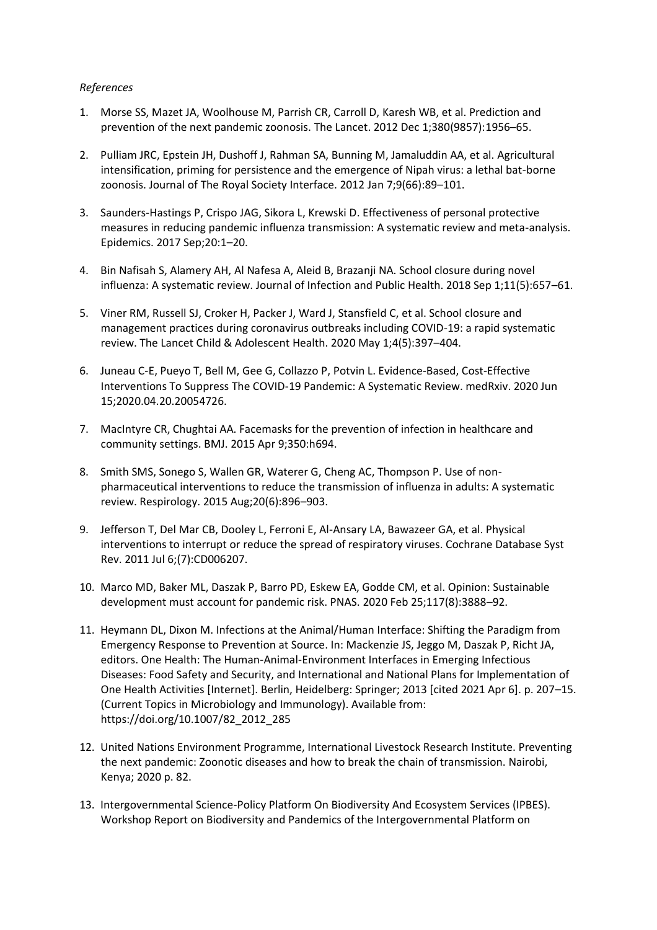### *References*

- 1. Morse SS, Mazet JA, Woolhouse M, Parrish CR, Carroll D, Karesh WB, et al. Prediction and prevention of the next pandemic zoonosis. The Lancet. 2012 Dec 1;380(9857):1956–65.
- 2. Pulliam JRC, Epstein JH, Dushoff J, Rahman SA, Bunning M, Jamaluddin AA, et al. Agricultural intensification, priming for persistence and the emergence of Nipah virus: a lethal bat-borne zoonosis. Journal of The Royal Society Interface. 2012 Jan 7;9(66):89–101.
- 3. Saunders-Hastings P, Crispo JAG, Sikora L, Krewski D. Effectiveness of personal protective measures in reducing pandemic influenza transmission: A systematic review and meta-analysis. Epidemics. 2017 Sep;20:1–20.
- 4. Bin Nafisah S, Alamery AH, Al Nafesa A, Aleid B, Brazanji NA. School closure during novel influenza: A systematic review. Journal of Infection and Public Health. 2018 Sep 1;11(5):657–61.
- 5. Viner RM, Russell SJ, Croker H, Packer J, Ward J, Stansfield C, et al. School closure and management practices during coronavirus outbreaks including COVID-19: a rapid systematic review. The Lancet Child & Adolescent Health. 2020 May 1;4(5):397–404.
- 6. Juneau C-E, Pueyo T, Bell M, Gee G, Collazzo P, Potvin L. Evidence-Based, Cost-Effective Interventions To Suppress The COVID-19 Pandemic: A Systematic Review. medRxiv. 2020 Jun 15;2020.04.20.20054726.
- 7. MacIntyre CR, Chughtai AA. Facemasks for the prevention of infection in healthcare and community settings. BMJ. 2015 Apr 9;350:h694.
- 8. Smith SMS, Sonego S, Wallen GR, Waterer G, Cheng AC, Thompson P. Use of nonpharmaceutical interventions to reduce the transmission of influenza in adults: A systematic review. Respirology. 2015 Aug;20(6):896–903.
- 9. Jefferson T, Del Mar CB, Dooley L, Ferroni E, Al-Ansary LA, Bawazeer GA, et al. Physical interventions to interrupt or reduce the spread of respiratory viruses. Cochrane Database Syst Rev. 2011 Jul 6;(7):CD006207.
- 10. Marco MD, Baker ML, Daszak P, Barro PD, Eskew EA, Godde CM, et al. Opinion: Sustainable development must account for pandemic risk. PNAS. 2020 Feb 25;117(8):3888–92.
- 11. Heymann DL, Dixon M. Infections at the Animal/Human Interface: Shifting the Paradigm from Emergency Response to Prevention at Source. In: Mackenzie JS, Jeggo M, Daszak P, Richt JA, editors. One Health: The Human-Animal-Environment Interfaces in Emerging Infectious Diseases: Food Safety and Security, and International and National Plans for Implementation of One Health Activities [Internet]. Berlin, Heidelberg: Springer; 2013 [cited 2021 Apr 6]. p. 207–15. (Current Topics in Microbiology and Immunology). Available from: https://doi.org/10.1007/82\_2012\_285
- 12. United Nations Environment Programme, International Livestock Research Institute. Preventing the next pandemic: Zoonotic diseases and how to break the chain of transmission. Nairobi, Kenya; 2020 p. 82.
- 13. Intergovernmental Science-Policy Platform On Biodiversity And Ecosystem Services (IPBES). Workshop Report on Biodiversity and Pandemics of the Intergovernmental Platform on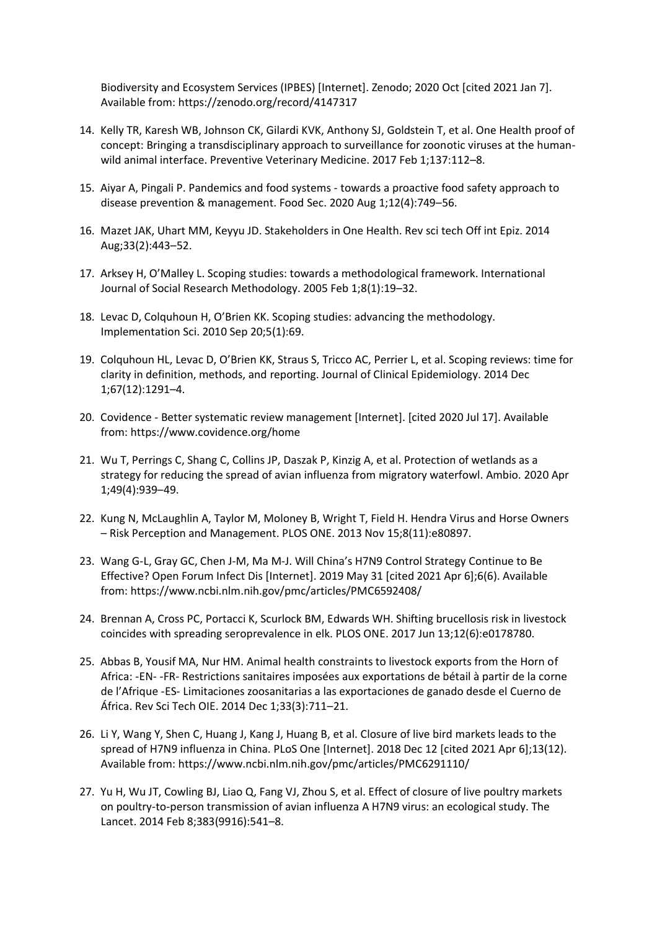Biodiversity and Ecosystem Services (IPBES) [Internet]. Zenodo; 2020 Oct [cited 2021 Jan 7]. Available from: https://zenodo.org/record/4147317

- 14. Kelly TR, Karesh WB, Johnson CK, Gilardi KVK, Anthony SJ, Goldstein T, et al. One Health proof of concept: Bringing a transdisciplinary approach to surveillance for zoonotic viruses at the humanwild animal interface. Preventive Veterinary Medicine. 2017 Feb 1;137:112–8.
- 15. Aiyar A, Pingali P. Pandemics and food systems towards a proactive food safety approach to disease prevention & management. Food Sec. 2020 Aug 1;12(4):749–56.
- 16. Mazet JAK, Uhart MM, Keyyu JD. Stakeholders in One Health. Rev sci tech Off int Epiz. 2014 Aug;33(2):443–52.
- 17. Arksey H, O'Malley L. Scoping studies: towards a methodological framework. International Journal of Social Research Methodology. 2005 Feb 1;8(1):19–32.
- 18. Levac D, Colquhoun H, O'Brien KK. Scoping studies: advancing the methodology. Implementation Sci. 2010 Sep 20;5(1):69.
- 19. Colquhoun HL, Levac D, O'Brien KK, Straus S, Tricco AC, Perrier L, et al. Scoping reviews: time for clarity in definition, methods, and reporting. Journal of Clinical Epidemiology. 2014 Dec 1;67(12):1291–4.
- 20. Covidence Better systematic review management [Internet]. [cited 2020 Jul 17]. Available from: https://www.covidence.org/home
- 21. Wu T, Perrings C, Shang C, Collins JP, Daszak P, Kinzig A, et al. Protection of wetlands as a strategy for reducing the spread of avian influenza from migratory waterfowl. Ambio. 2020 Apr 1;49(4):939–49.
- 22. Kung N, McLaughlin A, Taylor M, Moloney B, Wright T, Field H. Hendra Virus and Horse Owners – Risk Perception and Management. PLOS ONE. 2013 Nov 15;8(11):e80897.
- 23. Wang G-L, Gray GC, Chen J-M, Ma M-J. Will China's H7N9 Control Strategy Continue to Be Effective? Open Forum Infect Dis [Internet]. 2019 May 31 [cited 2021 Apr 6];6(6). Available from: https://www.ncbi.nlm.nih.gov/pmc/articles/PMC6592408/
- 24. Brennan A, Cross PC, Portacci K, Scurlock BM, Edwards WH. Shifting brucellosis risk in livestock coincides with spreading seroprevalence in elk. PLOS ONE. 2017 Jun 13;12(6):e0178780.
- 25. Abbas B, Yousif MA, Nur HM. Animal health constraints to livestock exports from the Horn of Africa: -EN- -FR- Restrictions sanitaires imposées aux exportations de bétail à partir de la corne de l'Afrique -ES- Limitaciones zoosanitarias a las exportaciones de ganado desde el Cuerno de África. Rev Sci Tech OIE. 2014 Dec 1;33(3):711–21.
- 26. Li Y, Wang Y, Shen C, Huang J, Kang J, Huang B, et al. Closure of live bird markets leads to the spread of H7N9 influenza in China. PLoS One [Internet]. 2018 Dec 12 [cited 2021 Apr 6];13(12). Available from: https://www.ncbi.nlm.nih.gov/pmc/articles/PMC6291110/
- 27. Yu H, Wu JT, Cowling BJ, Liao Q, Fang VJ, Zhou S, et al. Effect of closure of live poultry markets on poultry-to-person transmission of avian influenza A H7N9 virus: an ecological study. The Lancet. 2014 Feb 8;383(9916):541–8.